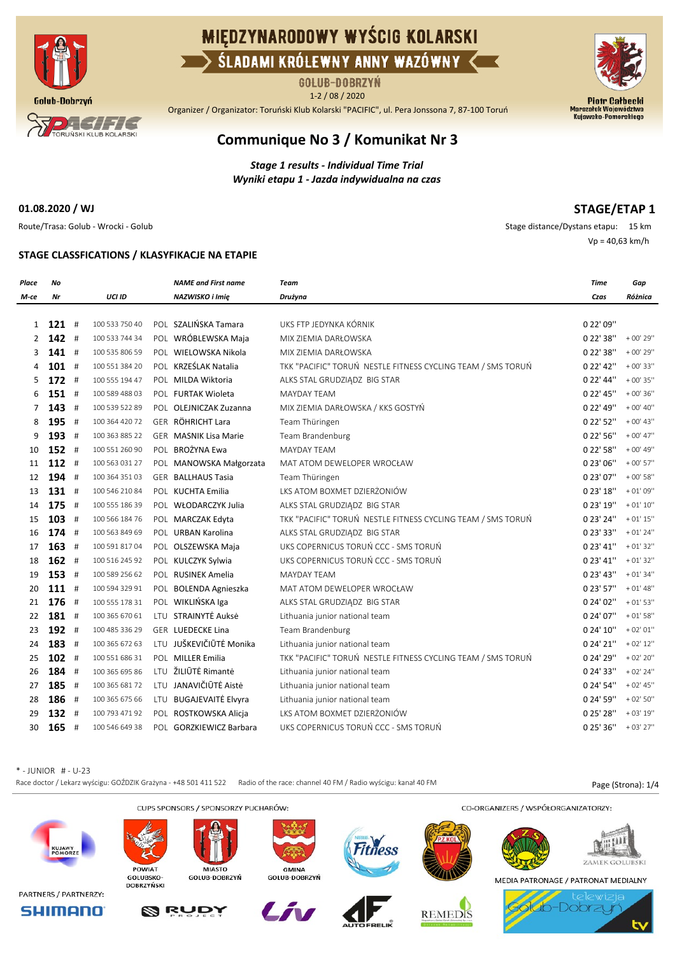

# **MIEDZYNARODOWY WYŚCIG KOLARSKI** SLADAMI KRÓLEWNY ANNY WAZÓWNY

GOLUB-DOBRZYŃ

1-2 / 08 / 2020

Organizer / Organizator: Toruński Klub Kolarski "PACIFIC", ul. Pera Jonssona 7, 87-100 Toruń



## **Communique No 3 / Komunikat Nr 3**

*Stage 1 results - Individual Time Trial Wyniki etapu 1 - Jazda indywidualna na czas*

**01.08.2020 / WJ**

**STAGE/ETAP 1**

Route/Trasa: Golub - Wrocki - Golub Stage distance/Dystans etapu: 15 km Vp = 40,63 km/h

### **STAGE CLASSFICATIONS / KLASYFIKACJE NA ETAPIE**

| Place          | No      |                | <b>NAME</b> and First name   | <b>Team</b>                                                 | Time                    | Gap         |
|----------------|---------|----------------|------------------------------|-------------------------------------------------------------|-------------------------|-------------|
| M-ce           | Nr      | UCI ID         | NAZWISKO i Imię              | Drużyna                                                     | Czas                    | Różnica     |
|                |         |                |                              |                                                             |                         |             |
| 1              | $121$ # | 100 533 750 40 | POL SZALIŃSKA Tamara         | UKS FTP JEDYNKA KÓRNIK                                      | 0 22' 09"               |             |
| $\overline{2}$ | $142$ # | 100 533 744 34 | POL WRÓBLEWSKA Maja          | MIX ZIEMIA DARŁOWSKA                                        | 0 22' 38"               | $+00'$ 29"  |
| 3              | $141$ # | 100 535 806 59 | POL WIELOWSKA Nikola         | MIX ZIEMIA DARŁOWSKA                                        | 0 22' 38"               | $+00'29''$  |
| 4              | $101$ # | 100 551 384 20 | POL KRZEŚLAK Natalia         | TKK "PACIFIC" TORUŃ NESTLE FITNESS CYCLING TEAM / SMS TORUŃ | 0 22' 42"               | $+00'33"$   |
| 5              | $172$ # | 100 555 194 47 | POL MILDA Wiktoria           | ALKS STAL GRUDZIĄDZ BIG STAR                                | 0 22' 44"               | $+00'35''$  |
| 6              | $151$ # | 100 589 488 03 | POL FURTAK Wioleta           | <b>MAYDAY TEAM</b>                                          | 0 22' 45"               | $+00'36''$  |
| 7              | $143$ # | 100 539 522 89 | POL OLEJNICZAK Zuzanna       | MIX ZIEMIA DARŁOWSKA / KKS GOSTYŃ                           | 0 22' 49"               | $+00' 40''$ |
| 8              | 195 #   | 100 364 420 72 | GER RÖHRICHT Lara            | Team Thüringen                                              | 0 22' 52"               | $+00'$ 43"  |
| 9              | 193 #   | 100 363 885 22 | <b>GER MASNIK Lisa Marie</b> | Team Brandenburg                                            | 0 22' 56"               | $+00'$ 47"  |
| 10             | $152$ # | 100 551 260 90 | POL BROŻYNA Ewa              | <b>MAYDAY TEAM</b>                                          | 0 22' 58"               | $+00'$ 49"  |
| 11             | $112$ # | 100 563 031 27 | POL MANOWSKA Małgorzata      | MAT ATOM DEWELOPER WROCŁAW                                  | 0 23' 06"               | $+00'57''$  |
| 12             | 194 #   | 100 364 351 03 | GER BALLHAUS Tasia           | Team Thüringen                                              | 0 23' 07"               | $+00'58''$  |
| 13             | $131$ # | 100 546 210 84 | POL KUCHTA Emilia            | LKS ATOM BOXMET DZIERŻONIÓW                                 | 0 23' 18"               | $+01'09''$  |
| 14             | $175$ # | 100 555 186 39 | POL WŁODARCZYK Julia         | ALKS STAL GRUDZIĄDZ BIG STAR                                | 0 23' 19"               | $+01'10''$  |
| 15             | $103$ # | 100 566 184 76 | POL MARCZAK Edyta            | TKK "PACIFIC" TORUŃ NESTLE FITNESS CYCLING TEAM / SMS TORUŃ | 0 23' 24"               | $+01'15''$  |
| 16             | $174$ # | 100 563 849 69 | POL URBAN Karolina           | ALKS STAL GRUDZIĄDZ BIG STAR                                | 0 23' 33"               | $+01'24"$   |
| 17             | $163$ # | 100 591 817 04 | POL OLSZEWSKA Maja           | UKS COPERNICUS TORUŃ CCC - SMS TORUŃ                        | 0 23' 41"               | $+01'32''$  |
| 18             | $162$ # | 100 516 245 92 | POL KULCZYK Sylwia           | UKS COPERNICUS TORUŃ CCC - SMS TORUŃ                        | 0 23' 41"               | $+01'32''$  |
| 19             | $153$ # | 100 589 256 62 | POL RUSINEK Amelia           | <b>MAYDAY TEAM</b>                                          | 0 23' 43"               | $+01'34"$   |
| 20             | $111$ # | 100 594 329 91 | POL BOLENDA Agnieszka        | MAT ATOM DEWELOPER WROCŁAW                                  | 0 23' 57"               | $+01'$ 48"  |
| 21             | $176$ # | 100 555 178 31 | POL WIKLIŃSKA Iga            | ALKS STAL GRUDZIĄDZ BIG STAR                                | 0 24' 02"               | $+01'53''$  |
| 22             | 181 #   | 100 365 670 61 | LTU STRAINYTĖ Auksė          | Lithuania junior national team                              | 0 24' 07"               | $+01'58''$  |
| 23             | 192 #   | 100 485 336 29 | <b>GER LUEDECKE Lina</b>     | Team Brandenburg                                            | 0 24' 10"               | $+02'01''$  |
| 24             | 183 #   | 100 365 672 63 | LTU JUŠKEVIČIŪTĖ Monika      | Lithuania junior national team                              | 0 24' 21"               | $+02'12''$  |
| 25             | $102$ # | 100 551 686 31 | POL MILLER Emilia            | TKK "PACIFIC" TORUŃ NESTLE FITNESS CYCLING TEAM / SMS TORUŃ | 0 24' 29"               | $+02'20''$  |
| 26             | 184 #   | 100 365 695 86 | LTU ŽILIŪTĖ Rimantė          | Lithuania junior national team                              | 0 24' 33"               | $+02'24''$  |
| 27             | 185 #   | 100 365 681 72 | LTU JANAVIČIŪTĖ Aistė        | Lithuania junior national team                              | 0 24' 54"               | $+02' 45''$ |
| 28             | 186 #   | 100 365 675 66 | LTU BUGAJEVAITĖ Elvyra       | Lithuania junior national team                              | 0 24' 59"               | $+02'50''$  |
| 29             | 132 #   | 100 793 471 92 | POL ROSTKOWSKA Alicja        | LKS ATOM BOXMET DZIERŻONIÓW                                 | 0 25' 28"               | $+03'19''$  |
| 30             | $165$ # | 100 546 649 38 | POL GORZKIEWICZ Barbara      | UKS COPERNICUS TORUŃ CCC - SMS TORUŃ                        | $0.25' 36'' + 03' 27''$ |             |

\* - JUNIOR # - U-23

Race doctor / Lekarz wyścigu: GOŹDZIK Grażyna - +48 501 411 522 Radio of the race: channel 40 FM / Radio wyścigu: kanał 40 FM Page (Strona): 1/4

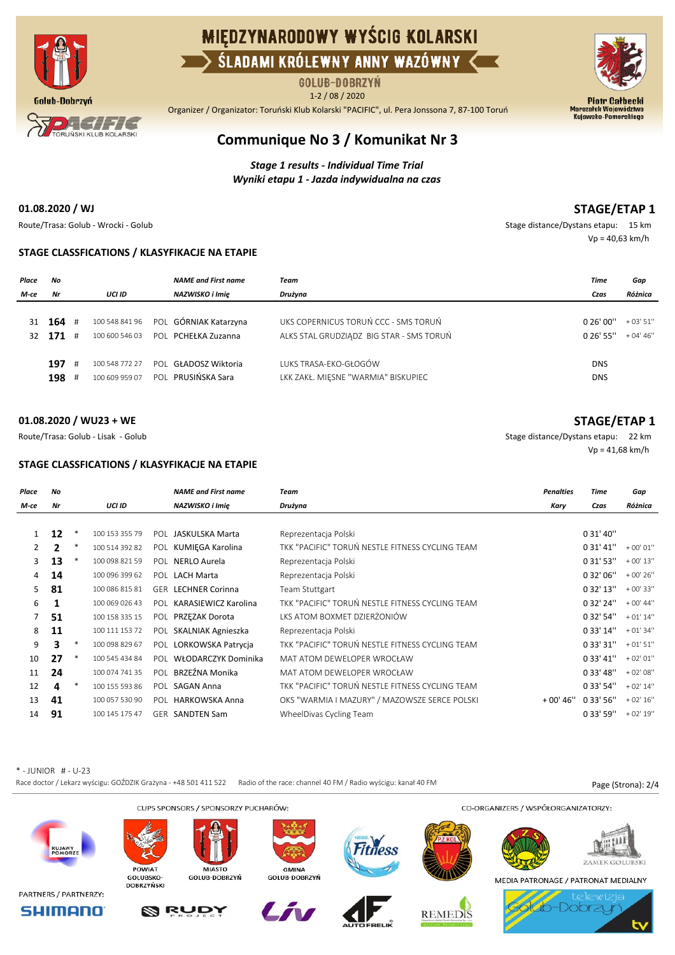

# **MIEDZYNARODOWY WYŚCIG KOLARSKI** SLADAMI KRÓLEWNY ANNY WAZÓWNY K

GOLUB-DOBRZYŃ

1-2 / 08 / 2020

Organizer / Organizator: Toruński Klub Kolarski "PACIFIC", ul. Pera Jonssona 7, 87-100 Toruń





## **Communique No 3 / Komunikat Nr 3**

*Stage 1 results - Individual Time Trial Wyniki etapu 1 - Jazda indywidualna na czas*

#### **01.08.2020 / WJ**

### **STAGE/ETAP 1**

**STAGE/ETAP 1**

Vp = 41,68 km/h

Route/Trasa: Golub - Wrocki - Golub Stage distance/Dystans etapu: 15 km Vp = 40,63 km/h

#### **STAGE CLASSFICATIONS / KLASYFIKACJE NA ETAPIE**

| Place | Νo         |   |                | <b>NAME</b> and First name | Team                                     | Time        | Gap        |
|-------|------------|---|----------------|----------------------------|------------------------------------------|-------------|------------|
| M-ce  | Nr         |   | UCI ID         | NAZWISKO i Imię            | Drużyna                                  | Czas        | Różnica    |
|       |            |   |                |                            |                                          |             |            |
|       | 31 $164$ # |   | 100 548 841 96 | POL GÓRNIAK Katarzyna      | UKS COPERNICUS TORUŃ CCC - SMS TORUŃ     | 0.26'00''   | $+03'51''$ |
| 32.   | 171        | # | 100 600 546 03 | POL PCHEŁKA Zuzanna        | ALKS STAL GRUDZIADZ BIG STAR - SMS TORUŃ | $0.26'$ 55" | $+04'46''$ |
|       |            |   |                |                            |                                          |             |            |
|       | 197        | # | 100 548 772 27 | POL GŁADOSZ Wiktoria       | LUKS TRASA-EKO-GŁOGÓW                    | <b>DNS</b>  |            |
|       | 198        | # | 100 609 959 07 | POL PRUSIŃSKA Sara         | LKK ZAKŁ. MIĘSNE "WARMIA" BISKUPIEC      | <b>DNS</b>  |            |
|       |            |   |                |                            |                                          |             |            |

#### **01.08.2020 / WU23 + WE**

Route/Trasa: Golub - Lisak - Golub Stage distance/Dystans etapu: 22 km

#### **STAGE CLASSFICATIONS / KLASYFIKACJE NA ETAPIE**

| Place        | No           |        |                | <b>NAME</b> and First name | <b>Team</b>                                      | <b>Penalties</b> | Time      | Gap        |
|--------------|--------------|--------|----------------|----------------------------|--------------------------------------------------|------------------|-----------|------------|
| M-ce         | Nr           |        | <b>UCI ID</b>  | NAZWISKO i Imie            | Drużyna                                          | Kary             | Czas      | Różnica    |
|              |              |        |                |                            |                                                  |                  |           |            |
|              | 12           | ∗      | 100 153 355 79 | POL JASKULSKA Marta        | Reprezentacja Polski                             |                  | 0 31' 40" |            |
| $\mathbf{2}$ | $\mathbf{2}$ | ∗      | 100 514 392 82 | POL KUMIEGA Karolina       | TKK "PACIFIC" TORUŃ NESTLE FITNESS CYCLING TEAM  |                  | 0 31' 41" | $+00'01''$ |
| 3.           | 13           | ∗      | 100 098 821 59 | POL NERLO Aurela           | Reprezentacja Polski                             |                  | 0 31' 53" | $+00'13''$ |
| 4            | 14           |        | 100 096 399 62 | POL LACH Marta             | Reprezentacja Polski                             |                  | 0 32' 06" | $+00'26''$ |
| 5.           | 81           |        | 100 086 815 81 | <b>GER LECHNER Corinna</b> | Team Stuttgart                                   |                  | 032'13''  | $+00'33"$  |
| 6            | 1            |        | 100 069 026 43 | POL KARASIEWICZ Karolina   | TKK "PACIFIC" TORUŃ NESTI E FITNESS CYCLING TEAM |                  | 0 32' 24" | $+00'44"$  |
| 7            | 51           |        | 100 158 335 15 | POL PRZEZAK Dorota         | LKS ATOM BOXMET DZIERŻONIÓW                      |                  | 0 32' 54" | $+01'14''$ |
| 8            | 11           |        | 100 111 153 72 | POL SKALNIAK Agnieszka     | Reprezentacja Polski                             |                  | 0 33' 14" | $+01'34''$ |
| 9            | 3            | ∗      | 100 098 829 67 | POL LORKOWSKA Patrycja     | TKK "PACIFIC" TORUŃ NESTLE FITNESS CYCLING TEAM  |                  | 0 33' 31" | $+01'51''$ |
| 10           | 27           | $\ast$ | 100 545 434 84 | POL WŁODARCZYK Dominika    | MAT ATOM DEWELOPER WROCŁAW                       |                  | 033'41''  | $+02'01''$ |
| 11           | 24           |        | 100 074 741 35 | POL BRZEŹNA Monika         | MAT ATOM DEWELOPER WROCŁAW                       |                  | 033'48''  | $+02'08''$ |
| 12           | 4            | ∗      | 100 155 593 86 | POL SAGAN Anna             | TKK "PACIFIC" TORUŃ NESTLE FITNESS CYCLING TEAM  |                  | 0 33' 54" | $+02'14''$ |
| 13           | 41           |        | 100 057 530 90 | POL HARKOWSKA Anna         | OKS "WARMIA I MAZURY" / MAZOWSZE SERCE POLSKI    | $+00'46"$        | 0 33' 56" | $+02'16''$ |
| 14           | 91           |        | 100 145 175 47 | <b>GER SANDTEN Sam</b>     | WheelDivas Cycling Team                          |                  | 0 33' 59" | $+02'19''$ |

\* - JUNIOR # - U-23

Race doctor / Lekarz wyścigu: GOŹDZIK Grażyna - +48 501 411 522 Radio of the race: channel 40 FM / Radio wyścigu: kanał 40 FM Page (Strona): 2/4

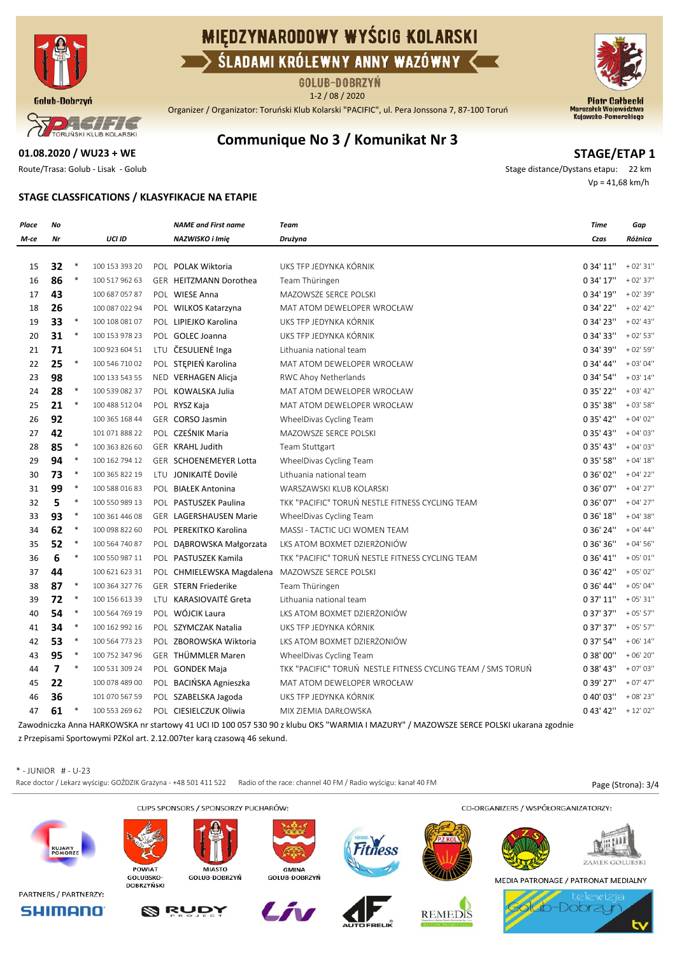

# **MIEDZYNARODOWY WYŚCIG KOLARSKI** SLADAMI KRÓLEWNY ANNY WAZÓWNY <

GOLUB-DOBRZYŃ 1-2 / 08 / 2020

Organizer / Organizator: Toruński Klub Kolarski "PACIFIC", ul. Pera Jonssona 7, 87-100 Toruń



**STAGE/ETAP 1**

 $P$   $H$   $H$   $H$   $H$ TORUŃSKI KLUB KOLARSKI

## **Communique No 3 / Komunikat Nr 3**

**01.08.2020 / WU23 + WE**

Route/Trasa: Golub - Lisak - Golub Stage distance/Dystans etapu: 22 km Vp = 41,68 km/h

#### **STAGE CLASSFICATIONS / KLASYFIKACJE NA ETAPIE**

| Place | No             |        |                | <b>NAME</b> and First name                      | Team                                                                                                                                  | Time      | Gap         |
|-------|----------------|--------|----------------|-------------------------------------------------|---------------------------------------------------------------------------------------------------------------------------------------|-----------|-------------|
| М-се  | Nr             |        | UCI ID         | NAZWISKO i Imię                                 | Drużyna                                                                                                                               | Czas      | Różnica     |
|       |                |        |                |                                                 |                                                                                                                                       |           |             |
| 15    | 32             | $\ast$ | 100 153 393 20 | POL POLAK Wiktoria                              | UKS TFP JEDYNKA KÓRNIK                                                                                                                | 0 34' 11" | $+02'31''$  |
| 16    | 86             | $\ast$ | 100 517 962 63 | GER HEITZMANN Dorothea                          | Team Thüringen                                                                                                                        | 0 34' 17" | $+02'37''$  |
| 17    | 43             |        | 100 687 057 87 | POL WIESE Anna                                  | MAZOWSZE SERCE POLSKI                                                                                                                 | 0 34' 19" | $+02'39''$  |
| 18    | 26             |        | 100 087 022 94 | POL WILKOS Katarzyna                            | MAT ATOM DEWELOPER WROCŁAW                                                                                                            | 0 34' 22" | $+02' 42''$ |
| 19    | 33             | $\ast$ | 100 108 081 07 | POL LIPIEJKO Karolina                           | UKS TFP JEDYNKA KÓRNIK                                                                                                                | 0 34' 23" | $+02' 43''$ |
| 20    | 31             | $\ast$ | 100 153 978 23 | POL GOLEC Joanna                                | UKS TFP JEDYNKA KÓRNIK                                                                                                                | 0 34' 33" | $+02'53''$  |
| 21    | 71             |        | 100 923 604 51 | LTU ČESULIENĖ Inga                              | Lithuania national team                                                                                                               | 0 34' 39" | $+02'59''$  |
| 22    | 25             | $\ast$ | 100 546 710 02 | POL STEPIEŃ Karolina                            | MAT ATOM DEWELOPER WROCŁAW                                                                                                            | 0 34' 44" | $+03'04''$  |
| 23    | 98             |        | 100 133 543 55 | NED VERHAGEN Alicja                             | RWC Ahoy Netherlands                                                                                                                  | 0 34' 54" | $+03'14''$  |
| 24    | 28             | $\ast$ | 100 539 082 37 | POL KOWALSKA Julia                              | MAT ATOM DEWELOPER WROCŁAW                                                                                                            | 0 35' 22" | $+03' 42''$ |
| 25    | 21             | $\ast$ | 100 488 512 04 | POL RYSZ Kaja                                   | MAT ATOM DEWELOPER WROCŁAW                                                                                                            | 0 35' 38" | $+03'58''$  |
| 26    | 92             |        | 100 365 168 44 | GER CORSO Jasmin                                | WheelDivas Cycling Team                                                                                                               | 0 35' 42" | $+04'02''$  |
| 27    | 42             |        | 101 071 888 22 | POL CZEŚNIK Maria                               | MAZOWSZE SERCE POLSKI                                                                                                                 | 0 35' 43" | $+04'03''$  |
| 28    | 85             | $\ast$ | 100 363 826 60 | <b>GER KRAHL Judith</b>                         | Team Stuttgart                                                                                                                        | 0 35' 43" | $+04'03''$  |
| 29    | 94             | $\ast$ | 100 162 794 12 | GER SCHOENEMEYER Lotta                          | WheelDivas Cycling Team                                                                                                               | 0 35' 58" | $+04'18''$  |
| 30    | 73             | $\ast$ | 100 365 822 19 | LTU JONIKAITĖ Dovilė                            | Lithuania national team                                                                                                               | 0 36' 02" | $+04'22''$  |
| 31    | 99             | $\ast$ | 100 588 016 83 | POL BIAŁEK Antonina                             | WARSZAWSKI KLUB KOLARSKI                                                                                                              | 0 36' 07" | $+04'27''$  |
| 32    | 5              | $\ast$ | 100 550 989 13 | POL PASTUSZEK Paulina                           | TKK "PACIFIC" TORUŃ NESTLE FITNESS CYCLING TEAM                                                                                       | 0 36' 07" | $+04'27''$  |
| 33    | 93             | $\ast$ | 100 361 446 08 | <b>GER LAGERSHAUSEN Marie</b>                   | WheelDivas Cycling Team                                                                                                               | 0 36' 18" | $+04'38''$  |
| 34    | 62             | $\ast$ | 100 098 822 60 | POL PEREKITKO Karolina                          | MASSI - TACTIC UCI WOMEN TEAM                                                                                                         | 0 36' 24" | $+04'44''$  |
| 35    | 52             | $\ast$ | 100 564 740 87 | POL DĄBROWSKA Małgorzata                        | LKS ATOM BOXMET DZIERZONIÓW                                                                                                           | 0 36' 36" | $+04'56''$  |
| 36    | 6              | $\ast$ | 100 550 987 11 | POL PASTUSZEK Kamila                            | TKK "PACIFIC" TORUŃ NESTLE FITNESS CYCLING TEAM                                                                                       | 0 36' 41" | $+05'01''$  |
| 37    | 44             |        | 100 621 623 31 | POL CHMIELEWSKA Magdalena MAZOWSZE SERCE POLSKI |                                                                                                                                       | 0 36' 42" | $+05'02"$   |
| 38    | 87             | $\ast$ | 100 364 327 76 | <b>GER STERN Friederike</b>                     | Team Thüringen                                                                                                                        | 0 36' 44" | $+05'04''$  |
| 39    | 72             | $\ast$ | 100 156 613 39 | LTU KARASIOVAITĖ Greta                          | Lithuania national team                                                                                                               | 0 37' 11" | $+05'31''$  |
| 40    | 54             | $\ast$ | 100 564 769 19 | POL WÓJCIK Laura                                | LKS ATOM BOXMET DZIERŻONIÓW                                                                                                           | 0 37' 37" | $+05'57''$  |
| 41    | 34             | $\ast$ | 100 162 992 16 | POL SZYMCZAK Natalia                            | UKS TFP JEDYNKA KÓRNIK                                                                                                                | 0 37' 37" | $+05'57''$  |
| 42    | 53             | $\ast$ | 100 564 773 23 | POL ZBOROWSKA Wiktoria                          | LKS ATOM BOXMET DZIERŻONIÓW                                                                                                           | 0 37' 54" | $+06'14''$  |
| 43    | 95             | $\ast$ | 100 752 347 96 | GER THÜMMLER Maren                              | WheelDivas Cycling Team                                                                                                               | 0 38' 00" | $+06'20''$  |
| 44    | $\overline{7}$ | $\ast$ | 100 531 309 24 | POL GONDEK Maja                                 | TKK "PACIFIC" TORUŃ NESTLE FITNESS CYCLING TEAM / SMS TORUŃ                                                                           | 0 38' 43" | $+07'03''$  |
| 45    | 22             |        | 100 078 489 00 | POL BACIŃSKA Agnieszka                          | MAT ATOM DEWELOPER WROCŁAW                                                                                                            | 0 39' 27" | $+07' 47''$ |
| 46    | 36             |        | 101 070 567 59 | POL SZABELSKA Jagoda                            | UKS TFP JEDYNKA KÓRNIK                                                                                                                | 0 40' 03" | $+08'23''$  |
| 47    | 61             |        | 100 553 269 62 | POL CIESIELCZUK Oliwia                          | MIX ZIEMIA DARŁOWSKA                                                                                                                  | 0 43' 42" | $+12'02''$  |
|       |                |        |                |                                                 | Zawodniczka Anna HARKOWSKA nr startowy 41 UCI ID 100 057 530 90 z klubu OKS "WARMIA I MAZURY" / MAZOWSZE SERCE POLSKI ukarana zgodnie |           |             |

z Przepisami Sportowymi PZKol art. 2.12.007ter karą czasową 46 sekund.

\* - JUNIOR # - U-23

Race doctor / Lekarz wyścigu: GOŹDZIK Grażyna - +48 501 411 522 Radio of the race: channel 40 FM / Radio wyścigu: kanał 40 FM Page (Strona): 3/4